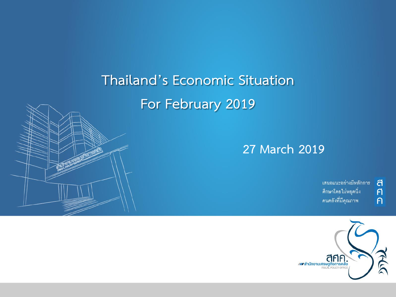## **Thailand's Economic Situation For February 2019**



้เสนอแนะอย่างมีหลักการ ศึกษาโดยไม่หยุดนิ่ง คนคลังที่มีคุณภาพ

ิ<br>ศิ

 $\overline{P}$ 

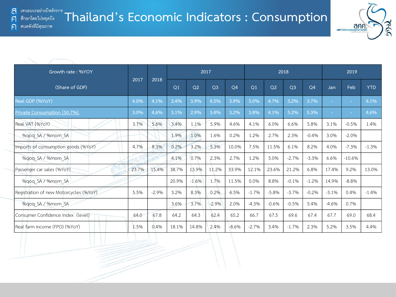F

 $\bigcap$ 



| Growth rate: %YOY                      |       | 2018    |                |                |                | 2017           |                |                |                | 2018           |         |          | 2019       |  |
|----------------------------------------|-------|---------|----------------|----------------|----------------|----------------|----------------|----------------|----------------|----------------|---------|----------|------------|--|
| (Share of GDP)                         | 2017  |         | O <sub>1</sub> | O <sub>2</sub> | O <sub>3</sub> | O <sub>4</sub> | O <sub>1</sub> | O <sub>2</sub> | O <sub>3</sub> | O <sub>4</sub> | Jan     | Feb      | <b>YTD</b> |  |
| Real GDP (%YoY)                        | 4.0%  | 4.1%    | 3.4%           | 3.9%           | 4.5%           | 3.9%           | 5.0%           | 4.7%           | 3.2%           | 3.7%           |         | ٠        | 4.1%       |  |
| Private Consumption (50.7%)            | 3.0%  | 4.6%    | 3.1%           | 2.9%           | 3.4%           | 3.2%           | 3.8%           | 4.1%           | 5.2%           | 5.3%           | ٠       | ٠        | 4.6%       |  |
| Real VAT (%YoY)                        | 3.7%  | 5.6%    | 3.4%           | 1.1%           | 5.9%           | 4.6%           | 4.1%           | 6.0%           | 6.6%           | 5.8%           | 3.1%    | $-0.5%$  | 1.4%       |  |
| %gog SA / %mom SA                      |       |         | 1.9%           | 1.0%           | 1.6%           | 0.2%           | 1.2%           | 2.7%           | 2.3%           | $-0.4%$        | 3.0%    | $-2.0%$  |            |  |
| Imports of consumption goods (%YoY)    | 4.7%  | 8.3%    | 0.2%           | 3.2%           | 5.3%           | 10.0%          | 7.5%           | 11.5%          | 6.1%           | 8.2%           | 4.0%    | $-7.3%$  | $-1.3%$    |  |
| %gog SA / %mom SA                      |       |         | 4.1%           | 0.7%           | 2.3%           | 2.7%           | 1.2%           | 5.0%           | $-2.7%$        | $-3.3%$        | 6.6%    | $-10.6%$ |            |  |
| Passenger car sales (%YoY)             | 23.7% | 15.4%   | 38.7%          | 13.9%          | 11.2%          | 33.9%          | 12.1%          | 23.6%          | 21.2%          | 6.8%           | 17.4%   | 9.2%     | 13.0%      |  |
| %gog SA / %mom SA                      |       |         | 20.9%          | $-1.6%$        | 1.7%           | 11.5%          | 0.0%           | 8.8%           | $-0.1%$        | $-1.2%$        | 14.9%   | $-8.8%$  |            |  |
| Registration of new Motorcycles (%YoY) | 5.5%  | $-2.9%$ | 3.2%           | 8.3%           | 0.2%           | 6.5%           | $-1.7%$        | $-5.8%$        | $-3.7%$        | $-0.2%$        | $-3.1%$ | 0.4%     | $-1.4%$    |  |
| %gog SA / %mom SA                      |       |         | 3.6%           | 3.7%           | $-2.9%$        | 2.0%           | $-4.3%$        | $-0.6%$        | $-0.5%$        | 5.4%           | $-4.6%$ | 0.7%     |            |  |
| Consumer Confidence Index (level)      | 64.0  | 67.8    | 64.2           | 64.3           | 62.4           | 65.2           | 66.7           | 67.5           | 69.6           | 67.4           | 67.7    | 69.0     | 68.4       |  |
| Real farm income (FPO) (%YoY)          | 1.5%  | 0.4%    | 18.1%          | 14.8%          | 2.4%           | $-8.6%$        | $-2.7%$        | 3.4%           | $-1.7%$        | 2.3%           | 5.2%    | 3.5%     | 4.4%       |  |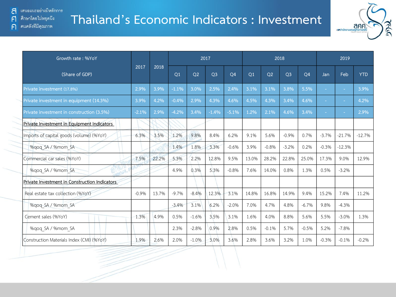## **Thailand's Economic Indicators : Investment**



| Growth rate: %YoY                             |         |       |         |         | 2017           |           |       |                | 2018           |                |         | 2019     |            |
|-----------------------------------------------|---------|-------|---------|---------|----------------|-----------|-------|----------------|----------------|----------------|---------|----------|------------|
| (Share of GDP)                                | 2017    | 2018  | Q1      | Q2      | Q <sub>3</sub> | <b>O4</b> | Q1    | O <sub>2</sub> | Q <sub>3</sub> | Q <sub>4</sub> | Jan     | Feb      | <b>YTD</b> |
| Private investment (17.8%)                    | 2.9%    | 3.9%  | $-1.1%$ | 3.0%    | 2.5%           | 2.4%      | 3.1%  | 3.1%           | 3.8%           | 5.5%           |         |          | 3.9%       |
| Private investment in equipment (14.3%)       | 3.9%    | 4.2%  | $-0.4%$ | 2.9%    | 4.3%           | 4.6%      | 4.5%  | 4.3%           | 3.4%           | 4.6%           |         |          | 4.2%       |
| Private investment in construction (3.5%)     | $-2.1%$ | 2.9%  | $-4.2%$ | 3.4%    | $-1.4%$        | $-5.1%$   | 1.2%  | 2.1%           | 4.6%           | 3.4%           |         |          | 2.9%       |
| Private Investment in Equipment Indicators    |         |       |         |         |                |           |       |                |                |                |         |          |            |
| Imports of capital goods (volume) (%YoY)      | 6.3%    | 3.5%  | 1.2%    | 9.8%    | 8.4%           | 6.2%      | 9.1%  | 5.6%           | $-0.9%$        | 0.7%           | $-3.7%$ | $-21.7%$ | $-12.7%$   |
| %qoq SA / %mom SA                             |         |       | 1.4%    | 1.8%    | 3.3%           | $-0.6%$   | 3.9%  | $-0.8%$        | $-3.2%$        | 0.2%           | $-0.3%$ | $-12.3%$ |            |
| Commercial car sales (%YoY)                   | 7.5%    | 22.2% | 5.3%    | 2.2%    | 12.8%          | 9.5%      | 13.0% | 28.2%          | 22.8%          | 25.0%          | 17.3%   | 9.0%     | 12.9%      |
| %qoq SA / %mom SA                             |         |       | 4.9%    | 0.3%    | 5.3%           | $-0.8%$   | 7.6%  | 14.0%          | 0.8%           | 1.3%           | 0.5%    | $-3.2\%$ |            |
| Private Investment in Construction Indicators |         |       |         |         |                |           |       |                |                |                |         |          |            |
| Real estate tax collection (%YoY)             | $-0.9%$ | 13.7% | $-9.7%$ | $-8.4%$ | 12.3%          | 3.1%      | 14.8% | 16.8%          | 14.9%          | 9.4%           | 15.2%   | 7.4%     | 11.2%      |
| %qoq SA / %mom SA                             |         |       | $-3.4%$ | 3.1%    | 6.2%           | $-2.0%$   | 7.0%  | 4.7%           | 4.8%           | $-6.7%$        | 9.8%    | $-4.3%$  |            |
| Cement sales (%YoY)                           | 1.3%    | 4.9%  | 0.5%    | $-1.6%$ | 3.5%           | 3.1%      | 1.6%  | 4.0%           | 8.8%           | 5.6%           | 5.5%    | $-3.0%$  | 1.3%       |
| %qoq SA / %mom SA                             |         |       | 2.3%    | $-2.8%$ | 0.9%           | 2.8%      | 0.5%  | $-0.1%$        | 5.7%           | $-0.5%$        | 5.2%    | $-7.8%$  |            |
| Construction Materials Index (CMI) (%YoY)     | 1.9%    | 2.6%  | 2.0%    | $-1.0%$ | 3.0%           | 3.6%      | 2.8%  | 3.6%           | 3.2%           | 1.0%           | $-0.3%$ | $-0.1%$  | $-0.2%$    |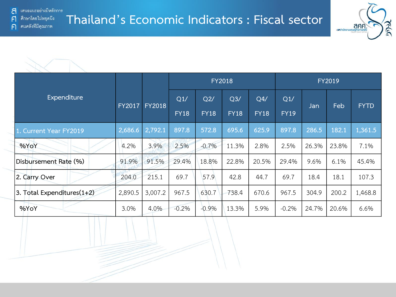คนคลังที่มีคุณภาพ

F

 $\bigcap$ 





|                               |               |               |                    |                    | <b>FY2018</b>                 |                    | <b>FY2019</b>      |       |       |             |  |  |  |
|-------------------------------|---------------|---------------|--------------------|--------------------|-------------------------------|--------------------|--------------------|-------|-------|-------------|--|--|--|
| Expenditure                   | <b>FY2017</b> | <b>FY2018</b> | Q1/<br><b>FY18</b> | Q2/<br><b>FY18</b> | Q <sub>3</sub><br><b>FY18</b> | Q4/<br><b>FY18</b> | Q1/<br><b>FY19</b> | Jan   | Feb   | <b>FYTD</b> |  |  |  |
| 1. Current Year FY2019        | 2,686.6       | 2,792.1       | 897.8              | 572.8              | 695.6                         | 625.9              | 897.8              | 286.5 | 182.1 | 1,361.5     |  |  |  |
| %YoY                          | 4.2%          | 3.9%          | 2.5%               | $-0.7%$            | 11.3%                         | 2.8%               | 2.5%               | 26.3% | 23.8% | 7.1%        |  |  |  |
| Disbursement Rate (%)         | 91.9%         | 91.5%         | 29.4%              | 18.8%              | 22.8%                         | 20.5%              | 29.4%              | 9.6%  | 6.1%  | 45.4%       |  |  |  |
| 2. Carry Over                 | 204.0         | 215.1         | 69.7               | 57.9               | 42.8                          | 44.7               | 69.7               | 18.4  | 18.1  | 107.3       |  |  |  |
| 3. Total Expenditures $(1+2)$ | 2,890.5       | 3,007.2       | 967.5              | 630.7              | 738.4                         | 670.6              | 967.5              | 304.9 | 200.2 | 1,468.8     |  |  |  |
| %YoY                          | 3.0%          | 4.0%          | $-0.2%$            | $-0.9%$            | 13.3%                         | 5.9%               | $-0.2%$            | 24.7% | 20.6% | 6.6%        |  |  |  |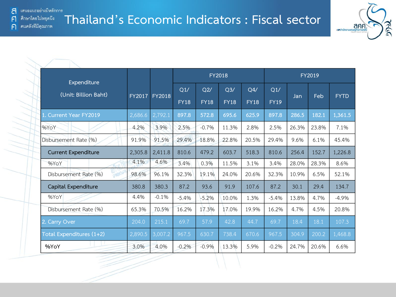้ เสนอแนะอย่างมีหลักการ a ศึกษาโดยไม่หยุดนึง

คนคลังที่มีคุณภาพ

F

 $\bigcap$ 

**Thailand's Economic Indicators : Fiscal sector**



| Expenditure                 |         |         |             | FY2018      |             |             | FY2019      |            |       |             |  |  |  |
|-----------------------------|---------|---------|-------------|-------------|-------------|-------------|-------------|------------|-------|-------------|--|--|--|
| (Unit: Billion Baht)        | FY2017  | FY2018  | Q1/         | Q2/         | Q3/         | Q4/         | Q1/         | <b>Jan</b> | Feb   | <b>FYTD</b> |  |  |  |
|                             |         |         | <b>FY18</b> | <b>FY18</b> | <b>FY18</b> | <b>FY18</b> | <b>FY19</b> |            |       |             |  |  |  |
| 1. Current Year FY2019      | 2,686.6 | 2,792.1 | 897.8       | 572.8       | 695.6       | 625.9       | 897.8       | 286.5      | 182.1 | 1,361.5     |  |  |  |
| %YoY                        | 4.2%    | 3.9%    | 2.5%        | $-0.7%$     | 11.3%       | 2.8%        | 2.5%        | 26.3%      | 23.8% | 7.1%        |  |  |  |
| Disbursement Rate (%)       | 91.9%   | 91.5%   | 29.4%       | 18.8%       | 22.8%       | 20.5%       | 29.4%       | 9.6%       | 6.1%  | 45.4%       |  |  |  |
| <b>Current Expenditure</b>  | 2,305.8 | 2,411.8 | 810.6       | 479.2       | 603.7       | 518.3       | 810.6       | 256.4      | 152.7 | 1,226.8     |  |  |  |
| %YoY                        | 4.1%    | 4.6%    | 3.4%        | 0.3%        | 11.5%       | 3.1%        | 3.4%        | 28.0%      | 28.3% | 8.6%        |  |  |  |
| G)<br>Disbursement Rate (%) | 98.6%   | 96.1%   | 32.3%       | 19.1%       | 24.0%       | 20.6%       | 32.3%       | 10.9%      | 6.5%  | 52.1%       |  |  |  |
| Capital Expenditure         | 380.8   | 380.3   | 87.2        | 93.6        | 91.9        | 107.6       | 87.2        | 30.1       | 29.4  | 134.7       |  |  |  |
| %YoY                        | 4.4%    | $-0.1%$ | $-5.4%$     | $-5.2%$     | 10.0%       | 1.3%        | $-5.4%$     | 13.8%      | 4.7%  | $-4.9%$     |  |  |  |
| Disbursement Rate (%)       | 65.3%   | 70.5%   | 16.2%       | 17.3%       | 17.0%       | 19.9%       | 16.2%       | 4.7%       | 4.5%  | 20.8%       |  |  |  |
| 2. Carry Over               | 204.0   | 215.1   | 69.7        | 57.9        | 42.8        | 44.7        | 69.7        | 18.4       | 18.1  | 107.3       |  |  |  |
| Total Expenditures (1+2)    | 2,890.5 | 3,007.2 | 967.5       | 630.7       | 738.4       | 670.6       | 967.5       | 304.9      | 200.2 | 1,468.8     |  |  |  |
| %YoY                        | 3.0%    | 4.0%    | $-0.2%$     | $-0.9%$     | 13.3%       | 5.9%        | $-0.2%$     | 24.7%      | 20.6% | 6.6%        |  |  |  |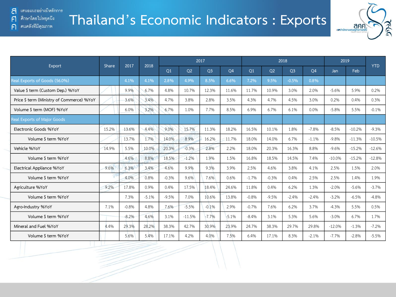คนคลังที่มีคุณภาพ

F

 $\bigcap$ 



| Export                                    | 2017<br>Share |         |         |         |          | 2018           |         |         | 2017    |                |         |          | 2018     |          | 2019 |  | <b>YTD</b> |
|-------------------------------------------|---------------|---------|---------|---------|----------|----------------|---------|---------|---------|----------------|---------|----------|----------|----------|------|--|------------|
|                                           |               |         |         | Q1      | Q2       | Q <sub>3</sub> | Q4      | Q1      | Q2      | Q <sub>3</sub> | Q4      | Jan      | Feb      |          |      |  |            |
| Real Exports of Goods (56.0%)             |               | 4.1%    | 4.1%    | 2.8%    | 4.9%     | 8.5%           | 6.6%    | 7.2%    | 9.5%    | $-0.5%$        | 0.8%    |          |          |          |      |  |            |
| Value \$ term (Custom Dep.) %YoY          |               | 9.9%    | 6.7%    | 4.8%    | 10.7%    | 12.3%          | 11.6%   | 11.7%   | 10.9%   | 3.0%           | 2.0%    | $-5.6%$  | 5.9%     | 0.2%     |      |  |            |
| Price \$ term (Ministry of Commerce) %YoY |               | 3.6%    | 3.4%    | 4.7%    | 3.8%     | 2.8%           | 3.5%    | 4.3%    | 4.7%    | 4.5%           | 3.0%    | 0.2%     | 0.4%     | 0.3%     |      |  |            |
| Volume \$ term (MOF) %YoY                 |               | 6.0%    | 3.2%    | 6.7%    | 1.0%     | 7.7%           | 8.5%    | 6.9%    | 6.7%    | 6.1%           | 0.0%    | $-5.8%$  | 5.5%     | $-0.1%$  |      |  |            |
| <b>Real Exports of Major Goods</b>        |               |         |         |         |          |                |         |         |         |                |         |          |          |          |      |  |            |
| Electronic Goods %YoY                     | 15.2%         | 13.6%   | 4.4%    | 9.0%    | 15.7%    | 11.3%          | 18.2%   | 16.5%   | 10.1%   | 1.8%           | $-7.8%$ | $-8.5%$  | $-10.2%$ | $-9.3%$  |      |  |            |
| Volume \$ term %YoY                       |               | 13.7%   | 1.7%    | 14.0%   | 8.9%     | 16.2%          | 11.7%   | 18.0%   | 14.0%   | 6.7%           | $-1.1%$ | $-9.8%$  | $-11.3%$ | $-10.5%$ |      |  |            |
| Vehicle %YoY                              | 14.9%         | 5.5%    | 10.0%   | 20.3%   | $-0.3%$  | 2.8%           | 2.2%    | 18.0%   | 20.3%   | 16.3%          | 8.8%    | $-9.6%$  | $-15.2%$ | $-12.6%$ |      |  |            |
| Volume \$ term %YoY                       |               | 4.6%    | 8.8%    | 18.5%   | $-1.2%$  | 1.9%           | 1.5%    | 16.8%   | 18.5%   | 14.5%          | 7.4%    | $-10.0%$ | $-15.2%$ | $-12.8%$ |      |  |            |
| Electrical Appliance %YoY                 | 9.6%          | 6.3%    | 3.4%    | 4.6%    | 9.9%     | 9.3%           | 3.9%    | 2.5%    | 4.6%    | 3.8%           | 4.1%    | 2.5%     | 1.5%     | 2.0%     |      |  |            |
| Volume \$ term %YoY                       |               | 4.0%    | 0.8%    | $-0.3%$ | 9.6%     | 7.6%           | 0.6%    | $-1.7%$ | $-0.3%$ | 0.4%           | 2.5%    | 2.5%     | 1.4%     | 1.9%     |      |  |            |
| Agriculture %YoY                          | 9.2%          | 17.8%   | 0.9%    | 0.4%    | 17.5%    | 18.4%          | 24.6%   | 11.8%   | 0.4%    | 6.2%           | 1.3%    | $-2.0%$  | $-5.6%$  | $-3.7%$  |      |  |            |
| Volume \$ term %YoY                       |               | 7.3%    | $-5.1%$ | $-9.5%$ | 7.0%     | 10.6%          | 13.8%   | $-0.8%$ | $-9.5%$ | $-2.4%$        | $-2.4%$ | $-3.2%$  | $-6.5%$  | $-4.8%$  |      |  |            |
| Agro-Industry %YoY                        | 7.1%          | $-0.8%$ | 4.8%    | 7.6%    | $-5.5%$  | $-0.1%$        | 2.9%    | $-0.7%$ | 7.6%    | 6.2%           | 3.7%    | $-4.3%$  | 5.5%     | 0.5%     |      |  |            |
| Volume \$ term %YoY                       |               | $-8.2%$ | 4.6%    | 3.1%    | $-11.5%$ | $-7.7%$        | $-5.1%$ | $-8.4%$ | 3.1%    | 5.3%           | 5.6%    | $-3.0%$  | 6.7%     | 1.7%     |      |  |            |
| Mineral and Fuel %YoY                     | 4.4%          | 29.3%   | 28.2%   | 38.3%   | 42.7%    | 30.9%          | 23.9%   | 24.7%   | 38.3%   | 29.7%          | 29.8%   | $-12.0%$ | $-1.3%$  | $-7.2%$  |      |  |            |
| Volume \$ term %YoY                       |               | 5.6%    | 5.4%    | 17.1%   | 4.2%     | 4.0%           | 7.5%    | 6.4%    | 17.1%   | 8.3%           | $-2.1%$ | $-7.7%$  | $-2.8%$  | $-5.5%$  |      |  |            |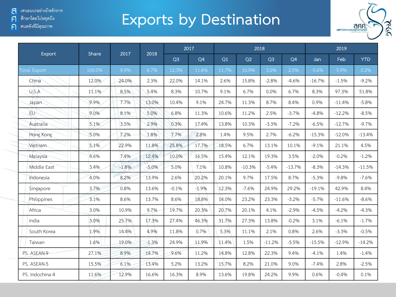์ ศึกษาโดยไม่หยุดนึง  $\mathsf{F}$ 

 $\frac{1}{2}$ 

ค คนคลังที่มีคุณภาพ

## **Exports by Destination**



| Export              | Share  | 2017    | 2018    |                | 2017           |       |          | 2018           |                |          | 2019     |            |
|---------------------|--------|---------|---------|----------------|----------------|-------|----------|----------------|----------------|----------|----------|------------|
|                     |        |         |         | Q <sub>3</sub> | Q <sub>4</sub> | Q1    | Q2       | Q <sub>3</sub> | Q <sub>4</sub> | Jan      | Feb      | <b>YTD</b> |
| <b>Total Export</b> | 100.0% | 9.9%    | 6.7%    | 12.3%          | 11.6%          | 11.7% | 10.9%    | 3.0%           | 2.0%           | $-5.6%$  | 5.9%     | 0.2%       |
| China               | 12.0%  | 24.0%   | 2.3%    | 22.0%          | 14.1%          | 2.6%  | 15.8%    | $-2.8%$        | $-4.6%$        | $-16.7%$ | $-1.5%$  | $-9.2%$    |
| U.S.A               | 11.1%  | 8.5%    | 5.4%    | 8.3%           | 10.7%          | 9.1%  | 6.7%     | 0.0%           | 6.7%           | 8.3%     | 97.3%    | 51.8%      |
| Japan               | 9.9%   | 7.7%    | 13.0%   | 10.4%          | 9.1%           | 24.7% | 11.3%    | 8.7%           | 8.4%           | 0.9%     | $-11.4%$ | $-5.8%$    |
| EU                  | 9.0%   | 8.1%    | 5.0%    | 6.8%           | 11.3%          | 10.6% | 11.2%    | 2.5%           | $-3.7%$        | $-4.8%$  | $-12.2%$ | $-8.5%$    |
| Australia           | 5.1%   | 3.5%    | 2.9%    | 0.3%           | 17.4%          | 13.8% | 10.3%    | $-3.3%$        | $-7.2%$        | $-6.5%$  | $-12.7%$ | $-9.7%$    |
| Hong Kong           | 5.0%   | 7.2%    | 1.8%    | 7.7%           | 2.8%           | 1.4%  | 9.5%     | 2.7%           | $-6.2%$        | $-15.3%$ | $-12.0%$ | $-13.4%$   |
| Vietnam             | 5.1%   | 22.9%   | 11.8%   | 25.8%          | 17.7%          | 18.5% | 6.7%     | 13.1%          | 10.1%          | $-9.1%$  | 21.1%    | 4.5%       |
| Malaysia            | 4.6%   | 7.4%    | 12.4%   | 10.0%          | 16.5%          | 15.4% | 12.1%    | 19.3%          | 3.5%           | $-2.0%$  | $-0.2%$  | $-1.2%$    |
| Middle East         | 3.4%   | $-1.8%$ | $-5.0%$ | 5.0%           | 7.1%           | 10.8% | $-10.3%$ | $-5.4%$        | $-13.7%$       | $-8.3%$  | $-14.3%$ | $-11.5%$   |
| Indonesia           | 4.0%   | 8.2%    | 13.9%   | 2.6%           | 20.2%          | 20.1% | 9.7%     | 17.5%          | 8.7%           | $-5.3%$  | $-9.8%$  | $-7.6%$    |
| Singapore           | 3.7%   | 0.8%    | 13.6%   | $-0.1%$        | $-1.9%$        | 12.3% | $-7.6%$  | 24.9%          | 29.2%          | $-19.1%$ | 42.9%    | 8.4%       |
| Philippines         | 3.1%   | 8.6%    | 13.7%   | 8.6%           | 18.8%          | 14.0% | 23.2%    | 23.3%          | $-3.2%$        | $-5.7%$  | $-11.6%$ | $-8.6%$    |
| Africa              | 3.0%   | 10.9%   | 9.7%    | 19.7%          | 20.3%          | 20.7% | 20.1%    | 4.1%           | $-2.9%$        | $-4.5%$  | $-4.2%$  | $-4.3%$    |
| India               | 3.0%   | 25.7%   | 17.3%   | 27.4%          | 46.3%          | 31.7% | 27.3%    | 13.8%          | $-0.2%$        | 3.1%     | $-6.1%$  | $-1.7%$    |
| South Korea         | 1.9%   | 14.4%   | 4.9%    | 11.8%          | 0.7%           | 5.3%  | 11.1%    | 2.1%           | 0.8%           | 2.6%     | $-3.3%$  | $-0.5%$    |
| Taiwan              | 1.6%   | 19.0%   | $-1.3%$ | 24.9%          | 11.9%          | 11.4% | 1.5%     | $-11.2%$       | $-5.5%$        | $-15.5%$ | $-12.9%$ | $-14.2%$   |
| PS. ASEAN-9         | 27.1%  | 8.9%    | 14.7%   | 9.6%           | 11.2%          | 14.8% | 12.8%    | 22.3%          | 9.4%           | $-4.1%$  | 1.4%     | $-1.4%$    |
| PS. ASEAN-5         | 15.5%  | 6.1%    | 13.4%   | 5.2%           | 13.2%          | 15.7% | 8.2%     | 21.0%          | 9.0%           | $-7.4%$  | 2.8%     | $-2.5%$    |
| PS. Indochina-4     | 11.6%  | 12.9%   | 16.6%   | 16.3%          | 8.9%           | 13.6% | 19.8%    | 24.2%          | 9.9%           | 0.6%     | $-0.4%$  | 0.1%       |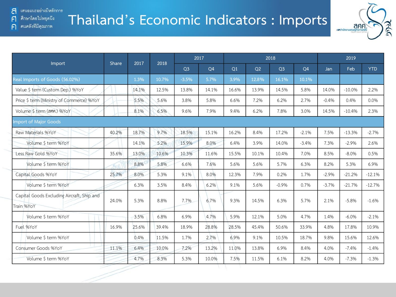คนคลังที่มีคุณภาพ

F

 $\bigcap$ 

## **Thailand's Economic Indicators : Imports**



|                                                          |              |       | 2017<br>2018 |                | 2017  |       |       | 2018           |         | 2019    |          |            |
|----------------------------------------------------------|--------------|-------|--------------|----------------|-------|-------|-------|----------------|---------|---------|----------|------------|
| Import                                                   | <b>Share</b> |       |              | Q <sub>3</sub> | Q4    | Q1    | Q2    | Q <sub>3</sub> | Q4      | Jan     | Feb      | <b>YTD</b> |
| Real Imports of Goods (56.02%)                           |              | 1.3%  | 10.7%        | $-3.5%$        | 5.7%  | 3.9%  | 12.8% | 16.1%          | 10.1%   |         |          |            |
| Value \$ term (Custom Dep.) %YoY                         |              | 14.1% | 12.5%        | 13.8%          | 14.1% | 16.6% | 13.9% | 14.5%          | 5.8%    | 14.0%   | $-10.0%$ | 2.2%       |
| Price \$ term (Ministry of Commerce) %YoY                |              | 5.5%  | 5.6%         | 3.8%           | 5.8%  | 6.6%  | 7.2%  | 6.2%           | 2.7%    | $-0.4%$ | 0.4%     | 0.0%       |
| Volume \$ term (ann.) %YoY                               |              | 8.1%  | 6.5%         | 9.6%           | 7.9%  | 9.4%  | 6.2%  | 7.8%           | 3.0%    | 14.5%   | $-10.4%$ | 2.3%       |
| <b>Import of Major Goods</b>                             |              |       |              |                |       |       |       |                |         |         |          |            |
| Raw Materials %YoY                                       | 40.2%        | 18.7% | 9.7%         | 18.5%          | 15.1% | 16.2% | 8.4%  | 17.2%          | $-2.1%$ | 7.5%    | $-13.3%$ | $-2.7%$    |
| Volume \$ term %YoY                                      |              | 14.1% | 5.2%         | 15.9%          | 8.0%  | 6.4%  | 3.9%  | 14.0%          | $-3.4%$ | 7.3%    | $-2.9%$  | 2.6%       |
| Less Raw Gold %YoY                                       | 35.6%        | 13.0% | 10.6%        | 10.3%          | 11.6% | 15.5% | 10.1% | 10.4%          | 7.0%    | 8.5%    | $-8.0%$  | 0.5%       |
| Volume \$ term %YoY                                      |              | 8.8%  | 5.8%         | 6.6%           | 7.6%  | 5.6%  | 5.6%  | 5.7%           | 6.3%    | 8.2%    | 5.3%     | 6.9%       |
| Capital Goods %YoY                                       | 25.7%        | 8.0%  | 5.3%         | 9.1%           | 8.0%  | 12.3% | 7.9%  | 0.2%           | 1.7%    | $-2.9%$ | $-21.2%$ | $-12.1%$   |
| Volume \$ term %YoY                                      |              | 6.3%  | 3.5%         | 8.4%           | 6.2%  | 9.1%  | 5.6%  | $-0.9%$        | 0.7%    | $-3.7%$ | $-21.7%$ | $-12.7%$   |
| Capital Goods Excluding Aircraft, Ship and<br>Train %YoY | 24.0%        | 5.3%  | 8.8%         | 7.7%           | 6.7%  | 9.3%  | 14.5% | 6.3%           | 5.7%    | 2.1%    | $-5.8%$  | $-1.6%$    |
| Volume \$ term %YoY                                      |              | 3.5%  | 6.8%         | 6.9%           | 4.7%  | 5.9%  | 12.1% | 5.0%           | 4.7%    | 1.4%    | $-6.0%$  | $-2.1%$    |
| Fuel %YoY                                                | 16.9%        | 25.6% | 39.4%        | 18.9%          | 28.8% | 28.5% | 45.4% | 50.6%          | 33.9%   | 4.8%    | 17.8%    | 10.9%      |
| Volume \$ term %YoY                                      |              | 0.4%  | 11.5%        | 1.7%           | 2.7%  | 6.9%  | 9.1%  | 10.5%          | 18.7%   | 9.8%    | 15.6%    | 12.6%      |
| Consumer Goods %YoY                                      | 11.1%        | 6.4%  | 10.0%        | 7.2%           | 13.2% | 11.0% | 13.8% | 6.9%           | 8.4%    | 4.0%    | $-7.4%$  | $-1.4%$    |
| Volume \$ term %YoY                                      |              | 4.7%  | 8.3%         | 5.3%           | 10.0% | 7.5%  | 11.5% | 6.1%           | 8.2%    | 4.0%    | $-7.3%$  | $-1.3%$    |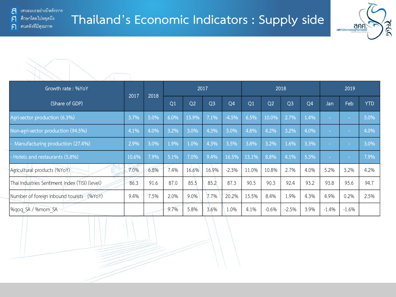



| Growth rate: %YoY                              | 2017  |      |                |                | 2017           |                |                |                | 2018           |                |         | 2019           |            |
|------------------------------------------------|-------|------|----------------|----------------|----------------|----------------|----------------|----------------|----------------|----------------|---------|----------------|------------|
| (Share of GDP)                                 |       | 2018 | Q <sub>1</sub> | Q <sub>2</sub> | Q <sub>3</sub> | Q <sub>4</sub> | Q <sub>1</sub> | Q <sub>2</sub> | Q <sub>3</sub> | Q <sub>4</sub> | Jan     | Feb            | <b>YTD</b> |
| Agri-sector production (6.3%)                  | 3.7%  | 5.0% | 6.0%           | 15.9%          | 7.1%           | $-4.5%$        | 6.5%           | 10.0%          | 2.7%           | 1.4%           |         |                | 5.0%       |
| Non-agri-sector production (94.5%)             | 4.1%  | 4.0% | 3.2%           | 3.0%           | 4.3%           | 5.0%           | 4.8%           | 4.2%           | 3.2%           | 4.0%           |         | <b>College</b> | 4.0%       |
| Manufacturing production (27.4%)               | 2.9%  | 3.0% | 1.9%           | 1.0%           | 4.3%           | 3.5%           | 3.8%           | 3.2%           | 1.6%           | 3.3%           |         |                | 3.0%       |
| - Hotels and restaurants (5.8%)                | 10.6% | 7.9% | 5.1%           | 7.0%           | 9.4%           | 16.5%          | 13.1%          | 8.8%           | 4.1%           | 5.3%           |         | <b>College</b> | 7.9%       |
| Agricultural products (%YoY)                   | 7.0%  | 6.8% | 7.4%           | 16.6%          | 16.9%          | $-2.3%$        | 11.0%          | 10.8%          | 2.7%           | 4.0%           | 5.2%    | 3.2%           | 4.2%       |
| Thai Industries Sentiment Index (TISI) (level) | 86.3  | 91.6 | 87.0           | 85.5           | 85.2           | 87.3           | 90.5           | 90.3           | 92.4           | 93.2           | 93.8    | 95.6           | 94.7       |
| Number of foreign inbound tourists (%YoY)      | 9.4%  | 7.5% | 2.0%           | 9.0%           | 7.7%           | 20.2%          | 15.5%          | 8.4%           | 1.9%           | 4.3%           | 4.9%    | 0.2%           | 2.5%       |
| %gog SA / %mom SA                              |       |      | 9.7%           | 5.8%           | 3.6%           | 1.0%           | 4.1%           | $-0.6%$        | $-2.5%$        | 3.9%           | $-1.4%$ | $-1.6%$        |            |